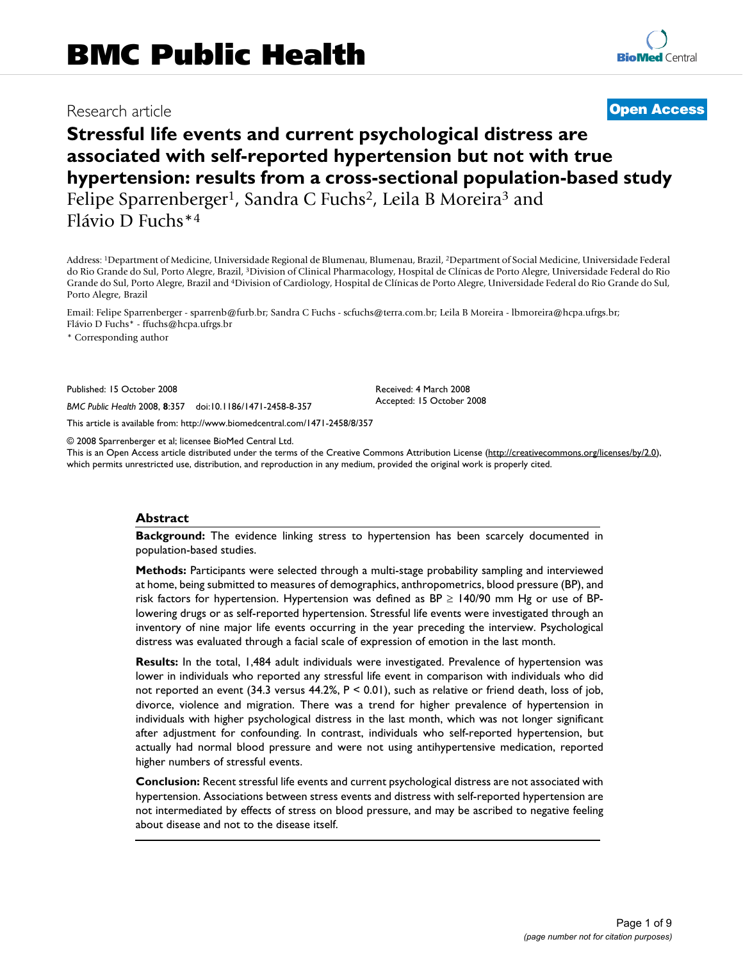# Research article **[Open Access](http://www.biomedcentral.com/info/about/charter/)**

# **Stressful life events and current psychological distress are associated with self-reported hypertension but not with true hypertension: results from a cross-sectional population-based study** Felipe Sparrenberger<sup>1</sup>, Sandra C Fuchs<sup>2</sup>, Leila B Moreira<sup>3</sup> and Flávio D Fuchs\*4

Address: 1Department of Medicine, Universidade Regional de Blumenau, Blumenau, Brazil, 2Department of Social Medicine, Universidade Federal do Rio Grande do Sul, Porto Alegre, Brazil, 3Division of Clinical Pharmacology, Hospital de Clínicas de Porto Alegre, Universidade Federal do Rio Grande do Sul, Porto Alegre, Brazil and 4Division of Cardiology, Hospital de Clínicas de Porto Alegre, Universidade Federal do Rio Grande do Sul, Porto Alegre, Brazil

Email: Felipe Sparrenberger - sparrenb@furb.br; Sandra C Fuchs - scfuchs@terra.com.br; Leila B Moreira - lbmoreira@hcpa.ufrgs.br; Flávio D Fuchs\* - ffuchs@hcpa.ufrgs.br

\* Corresponding author

Published: 15 October 2008

*BMC Public Health* 2008, **8**:357 doi:10.1186/1471-2458-8-357

[This article is available from: http://www.biomedcentral.com/1471-2458/8/357](http://www.biomedcentral.com/1471-2458/8/357)

© 2008 Sparrenberger et al; licensee BioMed Central Ltd.

This is an Open Access article distributed under the terms of the Creative Commons Attribution License [\(http://creativecommons.org/licenses/by/2.0\)](http://creativecommons.org/licenses/by/2.0), which permits unrestricted use, distribution, and reproduction in any medium, provided the original work is properly cited.

Received: 4 March 2008 Accepted: 15 October 2008

# **Abstract**

**Background:** The evidence linking stress to hypertension has been scarcely documented in population-based studies.

**Methods:** Participants were selected through a multi-stage probability sampling and interviewed at home, being submitted to measures of demographics, anthropometrics, blood pressure (BP), and risk factors for hypertension. Hypertension was defined as  $BP \ge 140/90$  mm Hg or use of BPlowering drugs or as self-reported hypertension. Stressful life events were investigated through an inventory of nine major life events occurring in the year preceding the interview. Psychological distress was evaluated through a facial scale of expression of emotion in the last month.

**Results:** In the total, 1,484 adult individuals were investigated. Prevalence of hypertension was lower in individuals who reported any stressful life event in comparison with individuals who did not reported an event (34.3 versus 44.2%, P < 0.01), such as relative or friend death, loss of job, divorce, violence and migration. There was a trend for higher prevalence of hypertension in individuals with higher psychological distress in the last month, which was not longer significant after adjustment for confounding. In contrast, individuals who self-reported hypertension, but actually had normal blood pressure and were not using antihypertensive medication, reported higher numbers of stressful events.

**Conclusion:** Recent stressful life events and current psychological distress are not associated with hypertension. Associations between stress events and distress with self-reported hypertension are not intermediated by effects of stress on blood pressure, and may be ascribed to negative feeling about disease and not to the disease itself.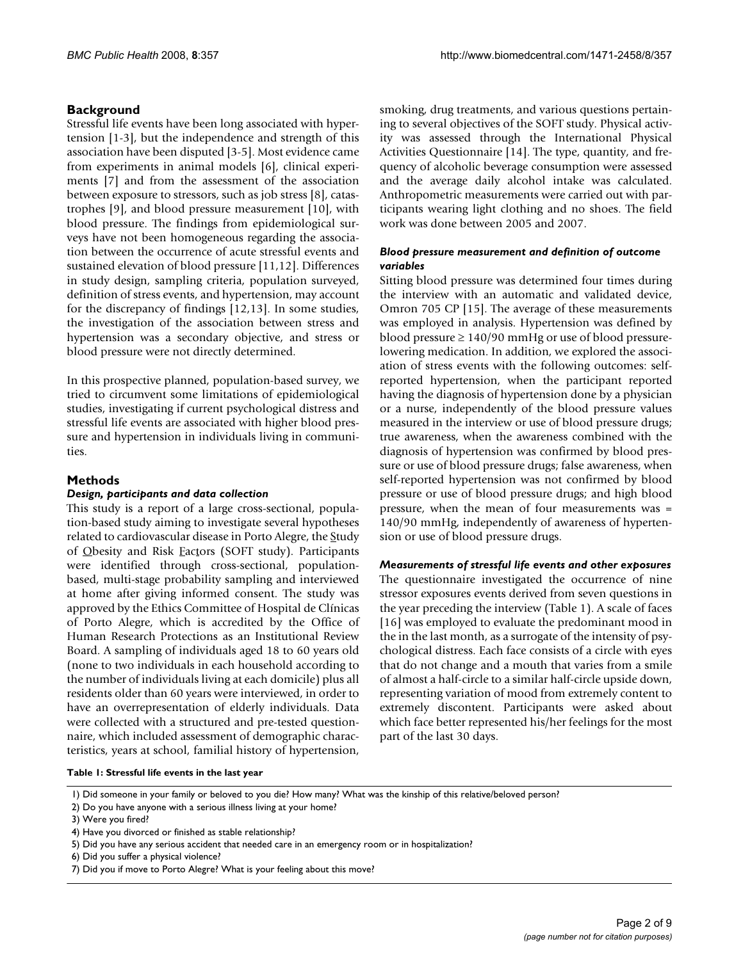# **Background**

Stressful life events have been long associated with hypertension [1-3], but the independence and strength of this association have been disputed [3-5]. Most evidence came from experiments in animal models [6], clinical experiments [7] and from the assessment of the association between exposure to stressors, such as job stress [8], catastrophes [9], and blood pressure measurement [10], with blood pressure. The findings from epidemiological surveys have not been homogeneous regarding the association between the occurrence of acute stressful events and sustained elevation of blood pressure [11,12]. Differences in study design, sampling criteria, population surveyed, definition of stress events, and hypertension, may account for the discrepancy of findings [12,13]. In some studies, the investigation of the association between stress and hypertension was a secondary objective, and stress or blood pressure were not directly determined.

In this prospective planned, population-based survey, we tried to circumvent some limitations of epidemiological studies, investigating if current psychological distress and stressful life events are associated with higher blood pressure and hypertension in individuals living in communities.

# **Methods**

# *Design, participants and data collection*

This study is a report of a large cross-sectional, population-based study aiming to investigate several hypotheses related to cardiovascular disease in Porto Alegre, the Study of Obesity and Risk Factors (SOFT study). Participants were identified through cross-sectional, populationbased, multi-stage probability sampling and interviewed at home after giving informed consent. The study was approved by the Ethics Committee of Hospital de Clínicas of Porto Alegre, which is accredited by the Office of Human Research Protections as an Institutional Review Board. A sampling of individuals aged 18 to 60 years old (none to two individuals in each household according to the number of individuals living at each domicile) plus all residents older than 60 years were interviewed, in order to have an overrepresentation of elderly individuals. Data were collected with a structured and pre-tested questionnaire, which included assessment of demographic characteristics, years at school, familial history of hypertension,

smoking, drug treatments, and various questions pertaining to several objectives of the SOFT study. Physical activity was assessed through the International Physical Activities Questionnaire [14]. The type, quantity, and frequency of alcoholic beverage consumption were assessed and the average daily alcohol intake was calculated. Anthropometric measurements were carried out with participants wearing light clothing and no shoes. The field work was done between 2005 and 2007.

# *Blood pressure measurement and definition of outcome variables*

Sitting blood pressure was determined four times during the interview with an automatic and validated device, Omron 705 CP [15]. The average of these measurements was employed in analysis. Hypertension was defined by blood pressure  $\geq 140/90$  mmHg or use of blood pressurelowering medication. In addition, we explored the association of stress events with the following outcomes: selfreported hypertension, when the participant reported having the diagnosis of hypertension done by a physician or a nurse, independently of the blood pressure values measured in the interview or use of blood pressure drugs; true awareness, when the awareness combined with the diagnosis of hypertension was confirmed by blood pressure or use of blood pressure drugs; false awareness, when self-reported hypertension was not confirmed by blood pressure or use of blood pressure drugs; and high blood pressure, when the mean of four measurements was = 140/90 mmHg, independently of awareness of hypertension or use of blood pressure drugs.

# *Measurements of stressful life events and other exposures*

The questionnaire investigated the occurrence of nine stressor exposures events derived from seven questions in the year preceding the interview (Table 1). A scale of faces [16] was employed to evaluate the predominant mood in the in the last month, as a surrogate of the intensity of psychological distress. Each face consists of a circle with eyes that do not change and a mouth that varies from a smile of almost a half-circle to a similar half-circle upside down, representing variation of mood from extremely content to extremely discontent. Participants were asked about which face better represented his/her feelings for the most part of the last 30 days.

**Table 1: Stressful life events in the last year**

<sup>1)</sup> Did someone in your family or beloved to you die? How many? What was the kinship of this relative/beloved person?

<sup>2)</sup> Do you have anyone with a serious illness living at your home?

<sup>3)</sup> Were you fired?

<sup>4)</sup> Have you divorced or finished as stable relationship?

<sup>5)</sup> Did you have any serious accident that needed care in an emergency room or in hospitalization?

<sup>6)</sup> Did you suffer a physical violence?

<sup>7)</sup> Did you if move to Porto Alegre? What is your feeling about this move?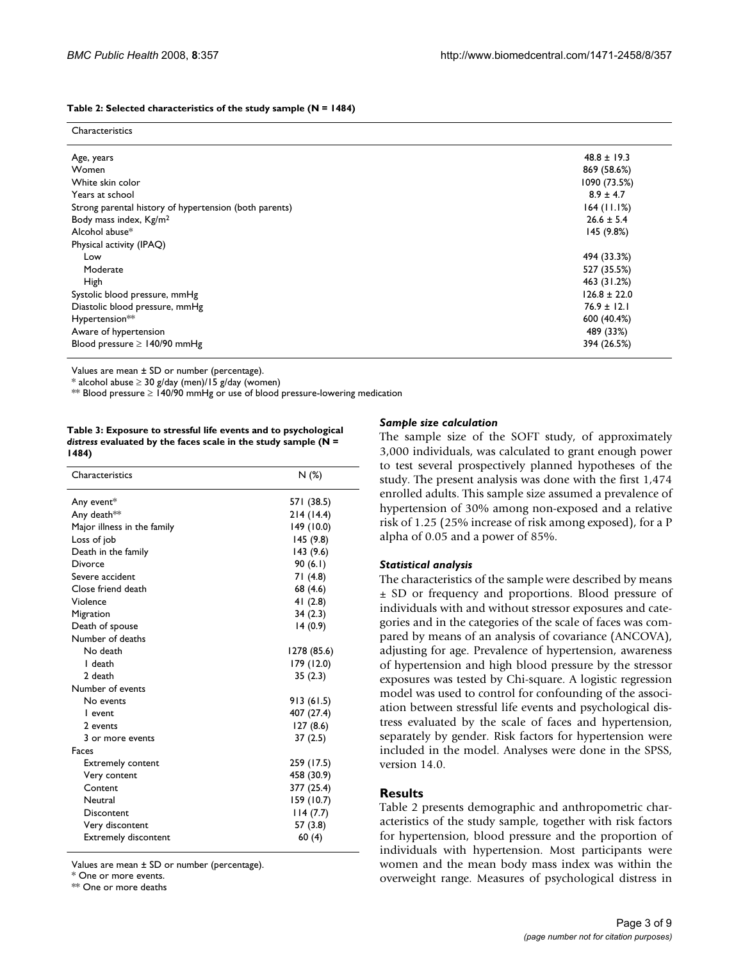#### **Table 2: Selected characteristics of the study sample (N = 1484)**

#### Characteristics

| Age, years                                             | $48.8 \pm 19.3$  |
|--------------------------------------------------------|------------------|
| Women                                                  | 869 (58.6%)      |
| White skin color                                       | 1090 (73.5%)     |
| Years at school                                        | $8.9 \pm 4.7$    |
| Strong parental history of hypertension (both parents) | 164 (11.1%)      |
| Body mass index, Kg/m <sup>2</sup>                     | $26.6 \pm 5.4$   |
| Alcohol abuse*                                         | 145 (9.8%)       |
| Physical activity (IPAQ)                               |                  |
| Low                                                    | 494 (33.3%)      |
| Moderate                                               | 527 (35.5%)      |
| <b>High</b>                                            | 463 (31.2%)      |
| Systolic blood pressure, mmHg                          | $126.8 \pm 22.0$ |
| Diastolic blood pressure, mmHg                         | $76.9 \pm 12.1$  |
| Hypertension**                                         | 600 (40.4%)      |
| Aware of hypertension                                  | 489 (33%)        |
| Blood pressure $\geq$ 140/90 mmHg                      | 394 (26.5%)      |

Values are mean ± SD or number (percentage).

\* alcohol abuse  $\geq 30$  g/day (men)/15 g/day (women)

\*\* Blood pressure ≥ 140/90 mmHg or use of blood pressure-lowering medication

**Table 3: Exposure to stressful life events and to psychological**  *distress* **evaluated by the faces scale in the study sample (N = 1484)**

| Characteristics             | N(%)        |  |  |  |  |
|-----------------------------|-------------|--|--|--|--|
| Any event*                  | 571 (38.5)  |  |  |  |  |
| Any death**                 | 214 (14.4)  |  |  |  |  |
| Major illness in the family | 149 (10.0)  |  |  |  |  |
| Loss of job                 | 145(9.8)    |  |  |  |  |
| Death in the family         | 143(9.6)    |  |  |  |  |
| Divorce                     | 90(6.1)     |  |  |  |  |
| Severe accident             | 71(4.8)     |  |  |  |  |
| Close friend death          | 68 (4.6)    |  |  |  |  |
| Violence                    | 41 (2.8)    |  |  |  |  |
| Migration                   | 34(2.3)     |  |  |  |  |
| Death of spouse             | 14(0.9)     |  |  |  |  |
| Number of deaths            |             |  |  |  |  |
| No death                    | 1278 (85.6) |  |  |  |  |
| I death                     | 179 (12.0)  |  |  |  |  |
| 2 death                     | 35(2.3)     |  |  |  |  |
| Number of events            |             |  |  |  |  |
| No events                   | 913 (61.5)  |  |  |  |  |
| l event                     | 407 (27.4)  |  |  |  |  |
| 2 events                    | 127(8.6)    |  |  |  |  |
| 3 or more events            | 37(2.5)     |  |  |  |  |
| Faces                       |             |  |  |  |  |
| <b>Extremely content</b>    | 259 (17.5)  |  |  |  |  |
| Very content                | 458 (30.9)  |  |  |  |  |
| Content                     | 377 (25.4)  |  |  |  |  |
| Neutral                     | 159 (10.7)  |  |  |  |  |
| Discontent                  | 114(7.7)    |  |  |  |  |
| Very discontent             | 57(3.8)     |  |  |  |  |
| <b>Extremely discontent</b> | 60(4)       |  |  |  |  |

Values are mean ± SD or number (percentage).

\* One or more events.

\*\* One or more deaths

#### *Sample size calculation*

The sample size of the SOFT study, of approximately 3,000 individuals, was calculated to grant enough power to test several prospectively planned hypotheses of the study. The present analysis was done with the first 1,474 enrolled adults. This sample size assumed a prevalence of hypertension of 30% among non-exposed and a relative risk of 1.25 (25% increase of risk among exposed), for a P alpha of 0.05 and a power of 85%.

#### *Statistical analysis*

The characteristics of the sample were described by means ± SD or frequency and proportions. Blood pressure of individuals with and without stressor exposures and categories and in the categories of the scale of faces was compared by means of an analysis of covariance (ANCOVA), adjusting for age. Prevalence of hypertension, awareness of hypertension and high blood pressure by the stressor exposures was tested by Chi-square. A logistic regression model was used to control for confounding of the association between stressful life events and psychological distress evaluated by the scale of faces and hypertension, separately by gender. Risk factors for hypertension were included in the model. Analyses were done in the SPSS, version 14.0.

#### **Results**

Table 2 presents demographic and anthropometric characteristics of the study sample, together with risk factors for hypertension, blood pressure and the proportion of individuals with hypertension. Most participants were women and the mean body mass index was within the overweight range. Measures of psychological distress in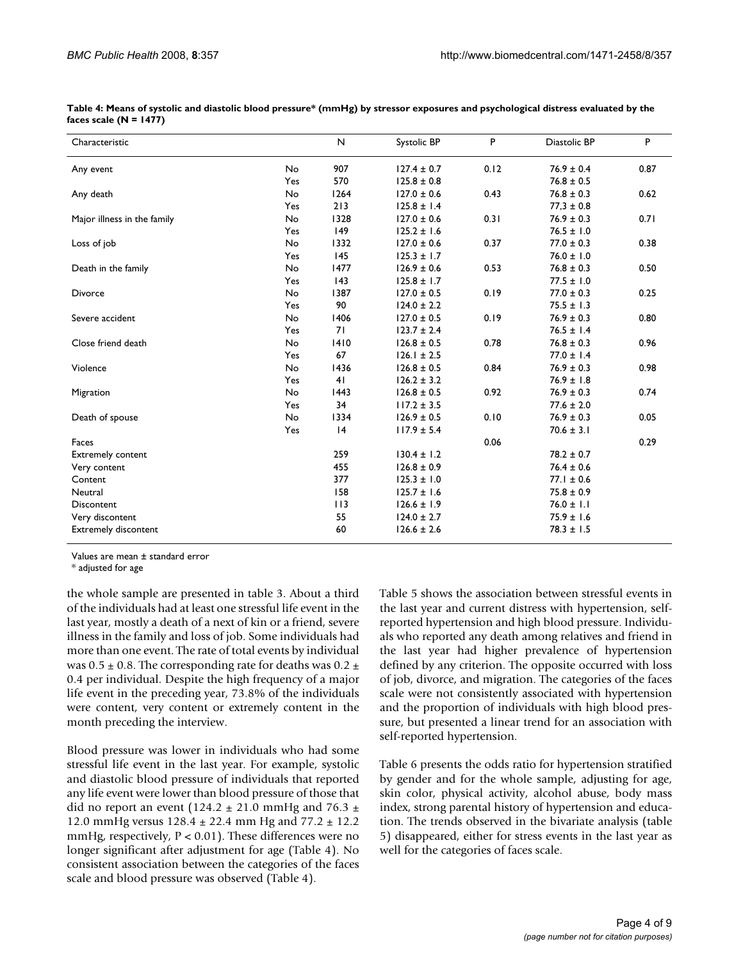| Characteristic              |     | $\mathsf{N}$   | Systolic BP     | P    | Diastolic BP   | P    |
|-----------------------------|-----|----------------|-----------------|------|----------------|------|
| Any event                   | No  | 907            | $127.4 \pm 0.7$ | 0.12 | $76.9 \pm 0.4$ | 0.87 |
|                             | Yes | 570            | $125.8 \pm 0.8$ |      | $76.8 \pm 0.5$ |      |
| Any death                   | No  | 1264           | $127.0 \pm 0.6$ | 0.43 | $76.8 \pm 0.3$ | 0.62 |
|                             | Yes | 213            | $125.8 \pm 1.4$ |      | $77.3 \pm 0.8$ |      |
| Major illness in the family | No  | 1328           | $127.0 \pm 0.6$ | 0.31 | $76.9 \pm 0.3$ | 0.71 |
|                             | Yes | 149            | $125.2 \pm 1.6$ |      | $76.5 \pm 1.0$ |      |
| Loss of job                 | No  | 1332           | $127.0 \pm 0.6$ | 0.37 | $77.0 \pm 0.3$ | 0.38 |
|                             | Yes | 145            | $125.3 \pm 1.7$ |      | $76.0 \pm 1.0$ |      |
| Death in the family         | No  | 1477           | $126.9 \pm 0.6$ | 0.53 | $76.8 \pm 0.3$ | 0.50 |
|                             | Yes | 143            | $125.8 \pm 1.7$ |      | $77.5 \pm 1.0$ |      |
| Divorce                     | No  | 1387           | $127.0 \pm 0.5$ | 0.19 | $77.0 \pm 0.3$ | 0.25 |
|                             | Yes | 90             | $124.0 \pm 2.2$ |      | $75.5 \pm 1.3$ |      |
| Severe accident             | No  | 1406           | $127.0 \pm 0.5$ | 0.19 | $76.9 \pm 0.3$ | 0.80 |
|                             | Yes | 71             | $123.7 \pm 2.4$ |      | $76.5 \pm 1.4$ |      |
| Close friend death          | No  | 1410           | $126.8 \pm 0.5$ | 0.78 | $76.8 \pm 0.3$ | 0.96 |
|                             | Yes | 67             | $126.1 \pm 2.5$ |      | $77.0 \pm 1.4$ |      |
| Violence                    | No  | 1436           | $126.8 \pm 0.5$ | 0.84 | $76.9 \pm 0.3$ | 0.98 |
|                             | Yes | 4 <sub>1</sub> | $126.2 \pm 3.2$ |      | $76.9 \pm 1.8$ |      |
| Migration                   | No  | 1443           | $126.8 \pm 0.5$ | 0.92 | $76.9 \pm 0.3$ | 0.74 |
|                             | Yes | 34             | $117.2 \pm 3.5$ |      | $77.6 \pm 2.0$ |      |
| Death of spouse             | No  | 1334           | $126.9 \pm 0.5$ | 0.10 | $76.9 \pm 0.3$ | 0.05 |
|                             | Yes | 4              | $117.9 \pm 5.4$ |      | $70.6 \pm 3.1$ |      |
| Faces                       |     |                |                 | 0.06 |                | 0.29 |
| <b>Extremely content</b>    |     | 259            | $130.4 \pm 1.2$ |      | $78.2 \pm 0.7$ |      |
| Very content                |     | 455            | $126.8 \pm 0.9$ |      | $76.4 \pm 0.6$ |      |
| Content                     |     | 377            | $125.3 \pm 1.0$ |      | $77.1 \pm 0.6$ |      |
| Neutral                     |     | 158            | $125.7 \pm 1.6$ |      | $75.8 \pm 0.9$ |      |
| Discontent                  |     | 113            | $126.6 \pm 1.9$ |      | $76.0 \pm 1.1$ |      |
| Very discontent             |     | 55             | $124.0 \pm 2.7$ |      | $75.9 \pm 1.6$ |      |
| <b>Extremely discontent</b> |     | 60             | $126.6 \pm 2.6$ |      | $78.3 \pm 1.5$ |      |

**Table 4: Means of systolic and diastolic blood pressure\* (mmHg) by stressor exposures and psychological distress evaluated by the faces scale (N = 1477)**

Values are mean ± standard error

\* adjusted for age

the whole sample are presented in table 3. About a third of the individuals had at least one stressful life event in the last year, mostly a death of a next of kin or a friend, severe illness in the family and loss of job. Some individuals had more than one event. The rate of total events by individual was  $0.5 \pm 0.8$ . The corresponding rate for deaths was  $0.2 \pm$ 0.4 per individual. Despite the high frequency of a major life event in the preceding year, 73.8% of the individuals were content, very content or extremely content in the month preceding the interview.

Blood pressure was lower in individuals who had some stressful life event in the last year. For example, systolic and diastolic blood pressure of individuals that reported any life event were lower than blood pressure of those that did no report an event (124.2  $\pm$  21.0 mmHg and 76.3  $\pm$ 12.0 mmHg versus 128.4 ± 22.4 mm Hg and 77.2 ± 12.2 mmHg, respectively,  $P < 0.01$ ). These differences were no longer significant after adjustment for age (Table 4). No consistent association between the categories of the faces scale and blood pressure was observed (Table 4).

Table 5 shows the association between stressful events in the last year and current distress with hypertension, selfreported hypertension and high blood pressure. Individuals who reported any death among relatives and friend in the last year had higher prevalence of hypertension defined by any criterion. The opposite occurred with loss of job, divorce, and migration. The categories of the faces scale were not consistently associated with hypertension and the proportion of individuals with high blood pressure, but presented a linear trend for an association with self-reported hypertension.

Table 6 presents the odds ratio for hypertension stratified by gender and for the whole sample, adjusting for age, skin color, physical activity, alcohol abuse, body mass index, strong parental history of hypertension and education. The trends observed in the bivariate analysis (table 5) disappeared, either for stress events in the last year as well for the categories of faces scale.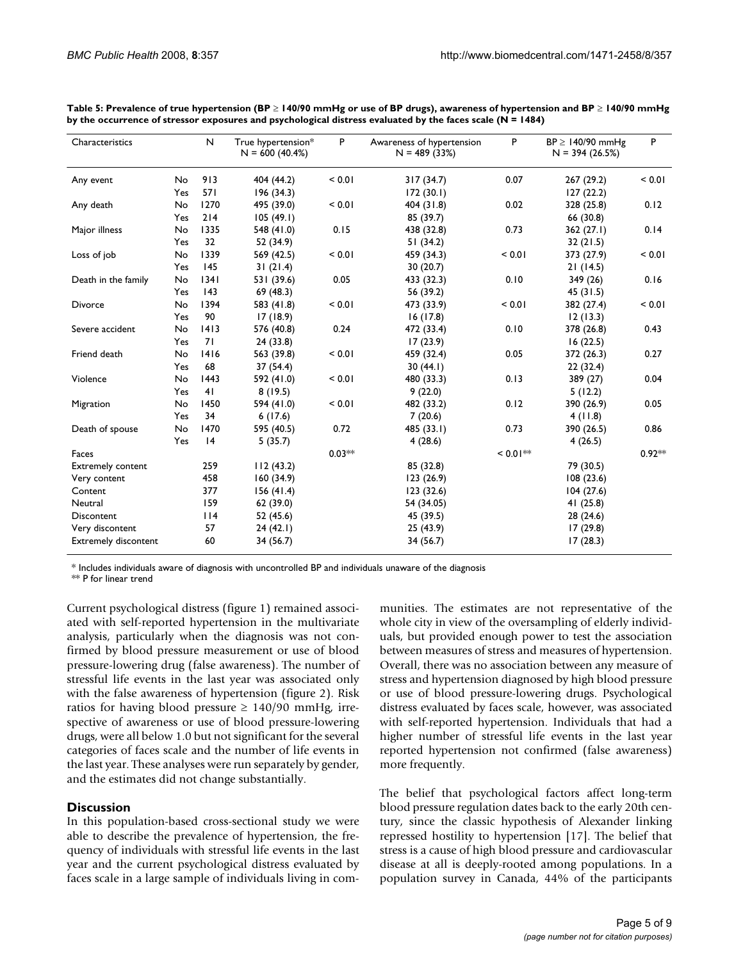| Characteristics             |     | N      | True hypertension*<br>$N = 600 (40.4%)$ | P        | Awareness of hypertension<br>$N = 489(33%)$ | P          | $BP \geq 140/90$ mmHg<br>$N = 394 (26.5%)$ | P        |
|-----------------------------|-----|--------|-----------------------------------------|----------|---------------------------------------------|------------|--------------------------------------------|----------|
| Any event                   | No  | 913    | 404 (44.2)                              | < 0.01   | 317(34.7)                                   | 0.07       | 267 (29.2)                                 | < 0.01   |
|                             | Yes | 571    | 196(34.3)                               |          | 172(30.1)                                   |            | 127(22.2)                                  |          |
| Any death                   | No  | 1270   | 495 (39.0)                              | < 0.01   | 404 (31.8)                                  | 0.02       | 328 (25.8)                                 | 0.12     |
|                             | Yes | 214    | 105(49.1)                               |          | 85 (39.7)                                   |            | 66 (30.8)                                  |          |
| Major illness               | No  | 1335   | 548 (41.0)                              | 0.15     | 438 (32.8)                                  | 0.73       | 362(27.1)                                  | 0.14     |
|                             | Yes | 32     | 52 (34.9)                               |          | 51(34.2)                                    |            | 32(21.5)                                   |          |
| Loss of job                 | No  | 1339   | 569 (42.5)                              | < 0.01   | 459 (34.3)                                  | < 0.01     | 373 (27.9)                                 | < 0.01   |
|                             | Yes | 145    | 31(21.4)                                |          | 30(20.7)                                    |            | 21(14.5)                                   |          |
| Death in the family         | No  | 1341   | 531 (39.6)                              | 0.05     | 433 (32.3)                                  | 0.10       | 349 (26)                                   | 0.16     |
|                             | Yes | 143    | 69 (48.3)                               |          | 56 (39.2)                                   |            | 45(31.5)                                   |          |
| Divorce                     | No  | 1394   | 583 (41.8)                              | < 0.01   | 473 (33.9)                                  | < 0.01     | 382 (27.4)                                 | < 0.01   |
|                             | Yes | 90     | 17(18.9)                                |          | 16(17.8)                                    |            | 12(13.3)                                   |          |
| Severe accident             | No  | 1413   | 576 (40.8)                              | 0.24     | 472 (33.4)                                  | 0.10       | 378 (26.8)                                 | 0.43     |
|                             | Yes | 71     | 24 (33.8)                               |          | 17(23.9)                                    |            | 16(22.5)                                   |          |
| Friend death                | No  | 1416   | 563 (39.8)                              | < 0.01   | 459 (32.4)                                  | 0.05       | 372 (26.3)                                 | 0.27     |
|                             | Yes | 68     | 37 (54.4)                               |          | 30(44.1)                                    |            | 22(32.4)                                   |          |
| Violence                    | No  | 1443   | 592 (41.0)                              | < 0.01   | 480 (33.3)                                  | 0.13       | 389 (27)                                   | 0.04     |
|                             | Yes | 41     | 8(19.5)                                 |          | 9(22.0)                                     |            | 5(12.2)                                    |          |
| Migration                   | No  | 1450   | 594 (41.0)                              | < 0.01   | 482 (33.2)                                  | 0.12       | 390 (26.9)                                 | 0.05     |
|                             | Yes | 34     | 6(17.6)                                 |          | 7(20.6)                                     |            | 4(11.8)                                    |          |
| Death of spouse             | No  | 1470   | 595 (40.5)                              | 0.72     | 485 (33.1)                                  | 0.73       | 390 (26.5)                                 | 0.86     |
|                             | Yes | 4      | 5(35.7)                                 |          | 4(28.6)                                     |            | 4(26.5)                                    |          |
| Faces                       |     |        |                                         | $0.03**$ |                                             | $< 0.01**$ |                                            | $0.92**$ |
| <b>Extremely content</b>    |     | 259    | 112(43.2)                               |          | 85 (32.8)                                   |            | 79 (30.5)                                  |          |
| Very content                |     | 458    | 160(34.9)                               |          | 123(26.9)                                   |            | 108(23.6)                                  |          |
| Content                     |     | 377    | 156(41.4)                               |          | 123(32.6)                                   |            | 104(27.6)                                  |          |
| Neutral                     |     | 159    | 62 (39.0)                               |          | 54 (34.05)                                  |            | 41(25.8)                                   |          |
| Discontent                  |     | $ $  4 | 52 (45.6)                               |          | 45 (39.5)                                   |            | 28 (24.6)                                  |          |
| Very discontent             |     | 57     | 24(42.1)                                |          | 25 (43.9)                                   |            | 17(29.8)                                   |          |
| <b>Extremely discontent</b> |     | 60     | 34 (56.7)                               |          | 34 (56.7)                                   |            | 17(28.3)                                   |          |

**Table 5: Prevalence of true hypertension (BP** ≥ **140/90 mmHg or use of BP drugs), awareness of hypertension and BP** ≥ **140/90 mmHg by the occurrence of stressor exposures and psychological distress evaluated by the faces scale (N = 1484)**

\* Includes individuals aware of diagnosis with uncontrolled BP and individuals unaware of the diagnosis

\*\* P for linear trend

Current psychological distress (figure 1) remained associated with self-reported hypertension in the multivariate analysis, particularly when the diagnosis was not confirmed by blood pressure measurement or use of blood pressure-lowering drug (false awareness). The number of stressful life events in the last year was associated only with the false awareness of hypertension (figure 2). Risk ratios for having blood pressure  $\geq 140/90$  mmHg, irrespective of awareness or use of blood pressure-lowering drugs, were all below 1.0 but not significant for the several categories of faces scale and the number of life events in the last year. These analyses were run separately by gender, and the estimates did not change substantially.

# **Discussion**

In this population-based cross-sectional study we were able to describe the prevalence of hypertension, the frequency of individuals with stressful life events in the last year and the current psychological distress evaluated by faces scale in a large sample of individuals living in communities. The estimates are not representative of the whole city in view of the oversampling of elderly individuals, but provided enough power to test the association between measures of stress and measures of hypertension. Overall, there was no association between any measure of stress and hypertension diagnosed by high blood pressure or use of blood pressure-lowering drugs. Psychological distress evaluated by faces scale, however, was associated with self-reported hypertension. Individuals that had a higher number of stressful life events in the last year reported hypertension not confirmed (false awareness) more frequently.

The belief that psychological factors affect long-term blood pressure regulation dates back to the early 20th century, since the classic hypothesis of Alexander linking repressed hostility to hypertension [17]. The belief that stress is a cause of high blood pressure and cardiovascular disease at all is deeply-rooted among populations. In a population survey in Canada, 44% of the participants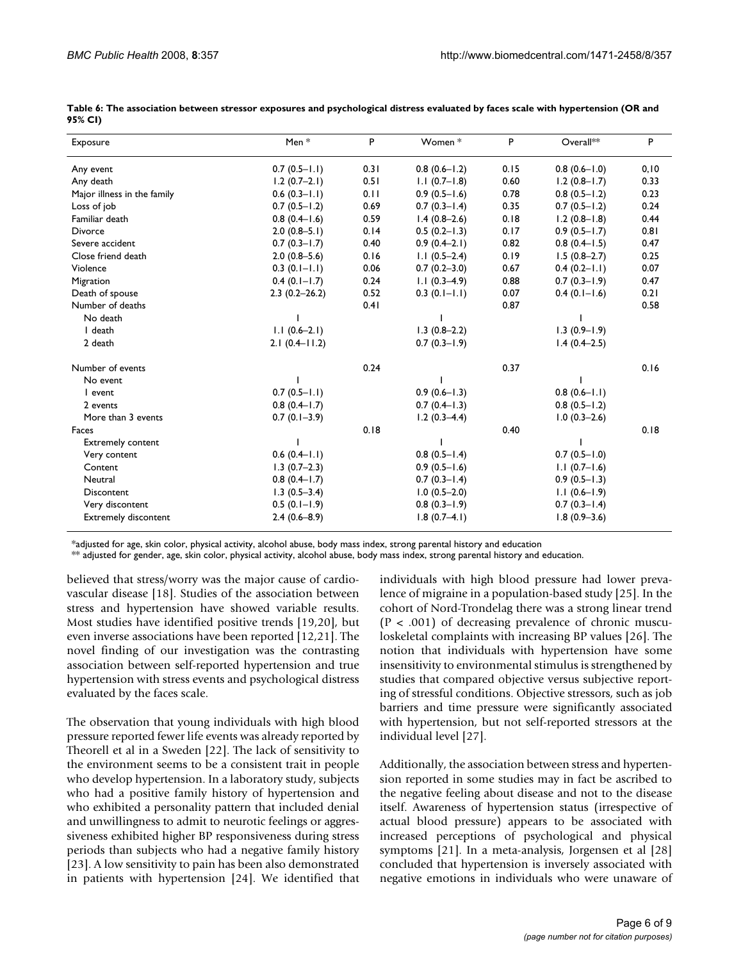| Exposure                    | Men *             | P    | Women <sup>*</sup> | P    | Overall**        | P     |
|-----------------------------|-------------------|------|--------------------|------|------------------|-------|
| Any event                   | $0.7(0.5 - 1.1)$  | 0.31 | $0.8(0.6 - 1.2)$   | 0.15 | $0.8(0.6 - 1.0)$ | 0, 10 |
| Any death                   | $1.2(0.7-2.1)$    | 0.51 | $1.1(0.7-1.8)$     | 0.60 | $1.2(0.8-1.7)$   | 0.33  |
| Major illness in the family | $0.6(0.3 - 1.1)$  | 0.11 | $0.9(0.5 - 1.6)$   | 0.78 | $0.8(0.5 - 1.2)$ | 0.23  |
| Loss of job                 | $0.7(0.5 - 1.2)$  | 0.69 | $0.7(0.3 - 1.4)$   | 0.35 | $0.7(0.5 - 1.2)$ | 0.24  |
| Familiar death              | $0.8(0.4-1.6)$    | 0.59 | $1.4(0.8-2.6)$     | 0.18 | $1.2(0.8-1.8)$   | 0.44  |
| Divorce                     | $2.0(0.8-5.1)$    | 0.14 | $0.5(0.2 - 1.3)$   | 0.17 | $0.9(0.5 - 1.7)$ | 0.81  |
| Severe accident             | $0.7(0.3 - 1.7)$  | 0.40 | $0.9(0.4-2.1)$     | 0.82 | $0.8(0.4 - 1.5)$ | 0.47  |
| Close friend death          | $2.0(0.8-5.6)$    | 0.16 | $1.1(0.5-2.4)$     | 0.19 | $1.5(0.8-2.7)$   | 0.25  |
| Violence                    | $0.3(0.1 - 1.1)$  | 0.06 | $0.7(0.2 - 3.0)$   | 0.67 | $0.4(0.2 - 1.1)$ | 0.07  |
| Migration                   | $0.4(0.1 - 1.7)$  | 0.24 | $1.1(0.3-4.9)$     | 0.88 | $0.7(0.3 - 1.9)$ | 0.47  |
| Death of spouse             | $2.3(0.2 - 26.2)$ | 0.52 | $0.3(0.1 - 1.1)$   | 0.07 | $0.4(0.1 - 1.6)$ | 0.21  |
| Number of deaths            |                   | 0.41 |                    | 0.87 |                  | 0.58  |
| No death                    |                   |      |                    |      |                  |       |
| I death                     | $1.1(0.6-2.1)$    |      | $1.3(0.8-2.2)$     |      | $1.3(0.9-1.9)$   |       |
| 2 death                     | $2.1(0.4-11.2)$   |      | $0.7(0.3 - 1.9)$   |      | $1.4(0.4-2.5)$   |       |
| Number of events            |                   | 0.24 |                    | 0.37 |                  | 0.16  |
| No event                    |                   |      |                    |      |                  |       |
| I event                     | $0.7(0.5 - 1.1)$  |      | $0.9(0.6 - 1.3)$   |      | $0.8(0.6 - 1.1)$ |       |
| 2 events                    | $0.8(0.4-1.7)$    |      | $0.7(0.4-1.3)$     |      | $0.8(0.5 - 1.2)$ |       |
| More than 3 events          | $0.7(0.1-3.9)$    |      | $1.2(0.3-4.4)$     |      | $1.0(0.3-2.6)$   |       |
| Faces                       |                   | 0.18 |                    | 0.40 |                  | 0.18  |
| <b>Extremely content</b>    |                   |      |                    |      |                  |       |
| Very content                | $0.6(0.4-1.1)$    |      | $0.8(0.5 - 1.4)$   |      | $0.7(0.5 - 1.0)$ |       |
| Content                     | $1.3(0.7-2.3)$    |      | $0.9(0.5 - 1.6)$   |      | $1.1(0.7-1.6)$   |       |
| Neutral                     | $0.8(0.4-1.7)$    |      | $0.7(0.3 - 1.4)$   |      | $0.9(0.5 - 1.3)$ |       |
| Discontent                  | $1.3(0.5-3.4)$    |      | $1.0(0.5-2.0)$     |      | $1.1(0.6-1.9)$   |       |
| Very discontent             | $0.5(0.1 - 1.9)$  |      | $0.8(0.3 - 1.9)$   |      | $0.7(0.3 - 1.4)$ |       |
| <b>Extremely discontent</b> | $2.4(0.6 - 8.9)$  |      | $1.8(0.7-4.1)$     |      | $1.8(0.9 - 3.6)$ |       |

|         |  | Table 6: The association between stressor exposures and psychological distress evaluated by faces scale with hypertension (OR and |
|---------|--|-----------------------------------------------------------------------------------------------------------------------------------|
| 95% CI) |  |                                                                                                                                   |

\*adjusted for age, skin color, physical activity, alcohol abuse, body mass index, strong parental history and education

\*\* adjusted for gender, age, skin color, physical activity, alcohol abuse, body mass index, strong parental history and education.

believed that stress/worry was the major cause of cardiovascular disease [18]. Studies of the association between stress and hypertension have showed variable results. Most studies have identified positive trends [19,20], but even inverse associations have been reported [12,21]. The novel finding of our investigation was the contrasting association between self-reported hypertension and true hypertension with stress events and psychological distress evaluated by the faces scale.

The observation that young individuals with high blood pressure reported fewer life events was already reported by Theorell et al in a Sweden [22]. The lack of sensitivity to the environment seems to be a consistent trait in people who develop hypertension. In a laboratory study, subjects who had a positive family history of hypertension and who exhibited a personality pattern that included denial and unwillingness to admit to neurotic feelings or aggressiveness exhibited higher BP responsiveness during stress periods than subjects who had a negative family history [23]. A low sensitivity to pain has been also demonstrated in patients with hypertension [24]. We identified that

individuals with high blood pressure had lower prevalence of migraine in a population-based study [25]. In the cohort of Nord-Trondelag there was a strong linear trend  $(P < .001)$  of decreasing prevalence of chronic musculoskeletal complaints with increasing BP values [26]. The notion that individuals with hypertension have some insensitivity to environmental stimulus is strengthened by studies that compared objective versus subjective reporting of stressful conditions. Objective stressors, such as job barriers and time pressure were significantly associated with hypertension, but not self-reported stressors at the individual level [27].

Additionally, the association between stress and hypertension reported in some studies may in fact be ascribed to the negative feeling about disease and not to the disease itself. Awareness of hypertension status (irrespective of actual blood pressure) appears to be associated with increased perceptions of psychological and physical symptoms [21]. In a meta-analysis, Jorgensen et al [28] concluded that hypertension is inversely associated with negative emotions in individuals who were unaware of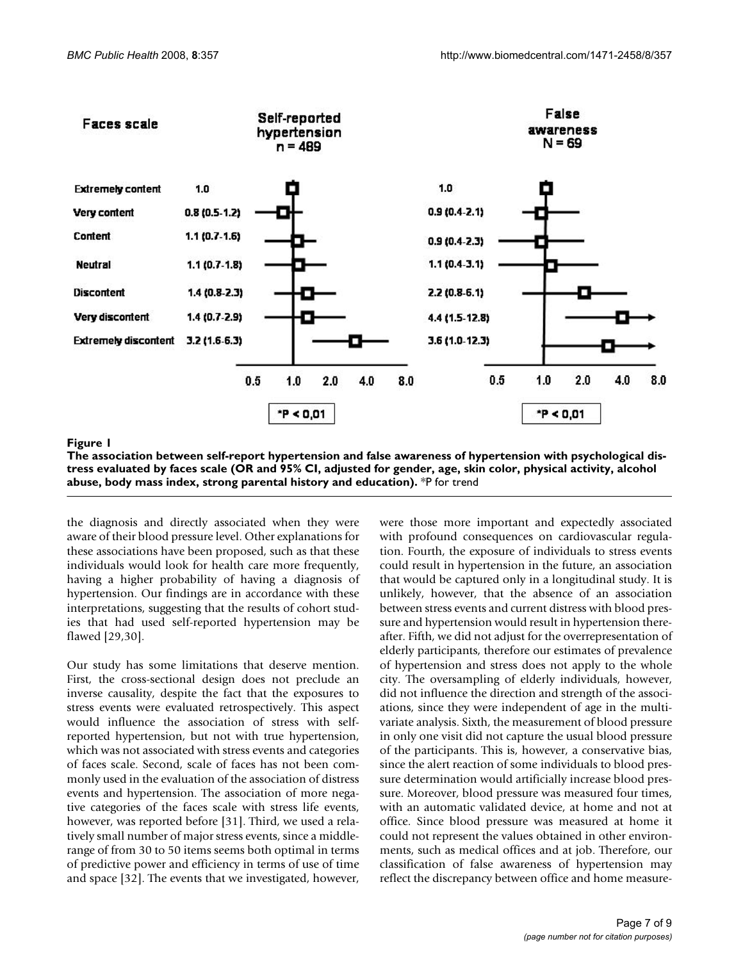

**The association between self-report hypertension and false awareness of hypertension with psychological distress evaluated by faces scale (OR and 95% CI, adjusted for gender, age, skin color, physical activity, alcohol abuse, body mass index, strong parental history and education).** \*P for trend

the diagnosis and directly associated when they were aware of their blood pressure level. Other explanations for these associations have been proposed, such as that these individuals would look for health care more frequently, having a higher probability of having a diagnosis of hypertension. Our findings are in accordance with these interpretations, suggesting that the results of cohort studies that had used self-reported hypertension may be flawed [29,30].

Our study has some limitations that deserve mention. First, the cross-sectional design does not preclude an inverse causality, despite the fact that the exposures to stress events were evaluated retrospectively. This aspect would influence the association of stress with selfreported hypertension, but not with true hypertension, which was not associated with stress events and categories of faces scale. Second, scale of faces has not been commonly used in the evaluation of the association of distress events and hypertension. The association of more negative categories of the faces scale with stress life events, however, was reported before [31]. Third, we used a relatively small number of major stress events, since a middlerange of from 30 to 50 items seems both optimal in terms of predictive power and efficiency in terms of use of time and space [32]. The events that we investigated, however,

were those more important and expectedly associated with profound consequences on cardiovascular regulation. Fourth, the exposure of individuals to stress events could result in hypertension in the future, an association that would be captured only in a longitudinal study. It is unlikely, however, that the absence of an association between stress events and current distress with blood pressure and hypertension would result in hypertension thereafter. Fifth, we did not adjust for the overrepresentation of elderly participants, therefore our estimates of prevalence of hypertension and stress does not apply to the whole city. The oversampling of elderly individuals, however, did not influence the direction and strength of the associations, since they were independent of age in the multivariate analysis. Sixth, the measurement of blood pressure in only one visit did not capture the usual blood pressure of the participants. This is, however, a conservative bias, since the alert reaction of some individuals to blood pressure determination would artificially increase blood pressure. Moreover, blood pressure was measured four times, with an automatic validated device, at home and not at office. Since blood pressure was measured at home it could not represent the values obtained in other environments, such as medical offices and at job. Therefore, our classification of false awareness of hypertension may reflect the discrepancy between office and home measure-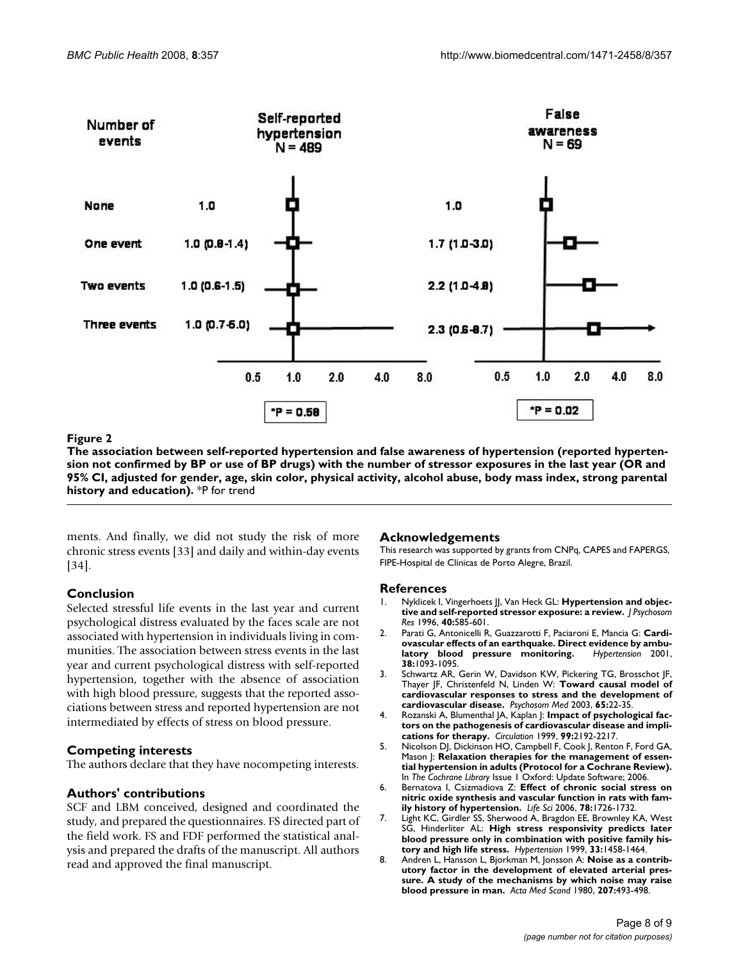

# Figure 2 and 2008 and 2008 and 2008 and 2008 and 2008 and 2008 and 2008 and 2008 and 2008 and 2008 and 2008 an

**The association between self-reported hypertension and false awareness of hypertension (reported hypertension not confirmed by BP or use of BP drugs) with the number of stressor exposures in the last year (OR and 95% CI, adjusted for gender, age, skin color, physical activity, alcohol abuse, body mass index, strong parental history and education).** \*P for trend

ments. And finally, we did not study the risk of more chronic stress events [33] and daily and within-day events [34].

# **Conclusion**

Selected stressful life events in the last year and current psychological distress evaluated by the faces scale are not associated with hypertension in individuals living in communities. The association between stress events in the last year and current psychological distress with self-reported hypertension, together with the absence of association with high blood pressure, suggests that the reported associations between stress and reported hypertension are not intermediated by effects of stress on blood pressure.

# **Competing interests**

The authors declare that they have nocompeting interests.

# **Authors' contributions**

SCF and LBM conceived, designed and coordinated the study, and prepared the questionnaires. FS directed part of the field work. FS and FDF performed the statistical analysis and prepared the drafts of the manuscript. All authors read and approved the final manuscript.

# **Acknowledgements**

This research was supported by grants from CNPq, CAPES and FAPERGS, FIPE-Hospital de Clínicas de Porto Alegre, Brazil.

### **References**

- 1. Nyklicek I, Vingerhoets JJ, Van Heck GL: **[Hypertension and objec](http://www.ncbi.nlm.nih.gov/entrez/query.fcgi?cmd=Retrieve&db=PubMed&dopt=Abstract&list_uids=8843038)[tive and self-reported stressor exposure: a review.](http://www.ncbi.nlm.nih.gov/entrez/query.fcgi?cmd=Retrieve&db=PubMed&dopt=Abstract&list_uids=8843038)** *J Psychosom Res* 1996, **40:**585-601.
- 2. Parati G, Antonicelli R, Guazzarotti F, Paciaroni E, Mancia G: **[Cardi](http://www.ncbi.nlm.nih.gov/entrez/query.fcgi?cmd=Retrieve&db=PubMed&dopt=Abstract&list_uids=11711503)[ovascular effects of an earthquake. Direct evidence by ambu](http://www.ncbi.nlm.nih.gov/entrez/query.fcgi?cmd=Retrieve&db=PubMed&dopt=Abstract&list_uids=11711503)[latory blood pressure monitoring.](http://www.ncbi.nlm.nih.gov/entrez/query.fcgi?cmd=Retrieve&db=PubMed&dopt=Abstract&list_uids=11711503)** *Hypertension* 2001, **38:**1093-1095.
- 3. Schwartz AR, Gerin W, Davidson KW, Pickering TG, Brosschot JF, Thayer JF, Christenfeld N, Linden W: **[Toward causal model of](http://www.ncbi.nlm.nih.gov/entrez/query.fcgi?cmd=Retrieve&db=PubMed&dopt=Abstract&list_uids=12554813) [cardiovascular responses to stress and the development of](http://www.ncbi.nlm.nih.gov/entrez/query.fcgi?cmd=Retrieve&db=PubMed&dopt=Abstract&list_uids=12554813) [cardiovascular disease.](http://www.ncbi.nlm.nih.gov/entrez/query.fcgi?cmd=Retrieve&db=PubMed&dopt=Abstract&list_uids=12554813)** *Psychosom Med* 2003, **65:**22-35.
- 4. Rozanski A, Blumenthal JA, Kaplan J: **[Impact of psychological fac](http://www.ncbi.nlm.nih.gov/entrez/query.fcgi?cmd=Retrieve&db=PubMed&dopt=Abstract&list_uids=10217662)[tors on the pathogenesis of cardiovascular disease and impli](http://www.ncbi.nlm.nih.gov/entrez/query.fcgi?cmd=Retrieve&db=PubMed&dopt=Abstract&list_uids=10217662)[cations for therapy.](http://www.ncbi.nlm.nih.gov/entrez/query.fcgi?cmd=Retrieve&db=PubMed&dopt=Abstract&list_uids=10217662)** *Circulation* 1999, **99:**2192-2217.
- 5. Nicolson DJ, Dickinson HO, Campbell F, Cook J, Renton F, Ford GA, Mason J: **Relaxation therapies for the management of essential hypertension in adults (Protocol for a Cochrane Review).** In *The Cochrane Library* Issue 1 Oxford: Update Software; 2006.
- 6. Bernatova I, Csizmadiova Z: **[Effect of chronic social stress on](http://www.ncbi.nlm.nih.gov/entrez/query.fcgi?cmd=Retrieve&db=PubMed&dopt=Abstract&list_uids=16253277) [nitric oxide synthesis and vascular function in rats with fam](http://www.ncbi.nlm.nih.gov/entrez/query.fcgi?cmd=Retrieve&db=PubMed&dopt=Abstract&list_uids=16253277)[ily history of hypertension.](http://www.ncbi.nlm.nih.gov/entrez/query.fcgi?cmd=Retrieve&db=PubMed&dopt=Abstract&list_uids=16253277)** *Life Sci* 2006, **78:**1726-1732.
- 7. Light KC, Girdler SS, Sherwood A, Bragdon EE, Brownley KA, West SG, Hinderliter AL: **[High stress responsivity predicts later](http://www.ncbi.nlm.nih.gov/entrez/query.fcgi?cmd=Retrieve&db=PubMed&dopt=Abstract&list_uids=10373233) [blood pressure only in combination with positive family his](http://www.ncbi.nlm.nih.gov/entrez/query.fcgi?cmd=Retrieve&db=PubMed&dopt=Abstract&list_uids=10373233)[tory and high life stress.](http://www.ncbi.nlm.nih.gov/entrez/query.fcgi?cmd=Retrieve&db=PubMed&dopt=Abstract&list_uids=10373233)** *Hypertension* 1999, **33:**1458-1464.
- 8. Andren L, Hansson L, Bjorkman M, Jonsson A: **[Noise as a contrib](http://www.ncbi.nlm.nih.gov/entrez/query.fcgi?cmd=Retrieve&db=PubMed&dopt=Abstract&list_uids=7424569)[utory factor in the development of elevated arterial pres](http://www.ncbi.nlm.nih.gov/entrez/query.fcgi?cmd=Retrieve&db=PubMed&dopt=Abstract&list_uids=7424569)sure. A study of the mechanisms by which noise may raise [blood pressure in man.](http://www.ncbi.nlm.nih.gov/entrez/query.fcgi?cmd=Retrieve&db=PubMed&dopt=Abstract&list_uids=7424569)** *Acta Med Scand* 1980, **207:**493-498.